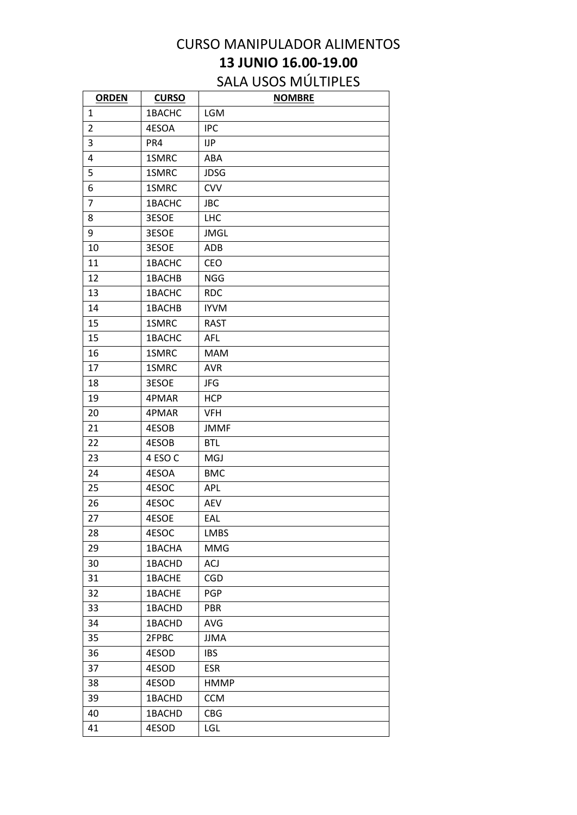## CURSO MANIPULADOR ALIMENTOS **13 JUNIO 16.00-19.00**

## SALA USOS MÚLTIPLES

| <b>ORDEN</b>   | <b>CURSO</b> | <b>NOMBRE</b> |
|----------------|--------------|---------------|
| $\mathbf{1}$   | 1BACHC       | <b>LGM</b>    |
| $\overline{2}$ | 4ESOA        | <b>IPC</b>    |
| 3              | PR4          | IJP           |
| 4              | 1SMRC        | ABA           |
| 5              | 1SMRC        | <b>JDSG</b>   |
| 6              | 1SMRC        | <b>CVV</b>    |
| $\overline{7}$ | 1BACHC       | <b>JBC</b>    |
| 8              | 3ESOE        | <b>LHC</b>    |
| 9              | 3ESOE        | <b>JMGL</b>   |
| 10             | 3ESOE        | ADB           |
| 11             | 1BACHC       | <b>CEO</b>    |
| 12             | 1BACHB       | <b>NGG</b>    |
| 13             | 1BACHC       | <b>RDC</b>    |
| 14             | 1BACHB       | <b>IYVM</b>   |
| 15             | 1SMRC        | <b>RAST</b>   |
| 15             | 1BACHC       | <b>AFL</b>    |
| 16             | 1SMRC        | <b>MAM</b>    |
| 17             | 1SMRC        | <b>AVR</b>    |
| 18             | 3ESOE        | JFG           |
| 19             | 4PMAR        | <b>HCP</b>    |
| 20             | 4PMAR        | <b>VFH</b>    |
| 21             | 4ESOB        | <b>JMMF</b>   |
| 22             | 4ESOB        | <b>BTL</b>    |
| 23             | 4 ESO C      | <b>MGJ</b>    |
| 24             | 4ESOA        | <b>BMC</b>    |
| 25             | 4ESOC        | APL           |
| 26             | 4ESOC        | <b>AEV</b>    |
| 27             | 4ESOE        | EAL           |
| 28             | 4ESOC        | <b>LMBS</b>   |
| 29             | 1BACHA       | <b>MMG</b>    |
| 30             | 1BACHD       | <b>ACJ</b>    |
| 31             | 1BACHE       | <b>CGD</b>    |
| 32             | 1BACHE       | <b>PGP</b>    |
| 33             | 1BACHD       | <b>PBR</b>    |
| 34             | 1BACHD       | <b>AVG</b>    |
| 35             | 2FPBC        | <b>JJMA</b>   |
| 36             | 4ESOD        | <b>IBS</b>    |
| 37             | 4ESOD        | <b>ESR</b>    |
| 38             | 4ESOD        | <b>HMMP</b>   |
| 39             | 1BACHD       | <b>CCM</b>    |
| 40             | 1BACHD       | <b>CBG</b>    |
| 41             | 4ESOD        | <b>LGL</b>    |